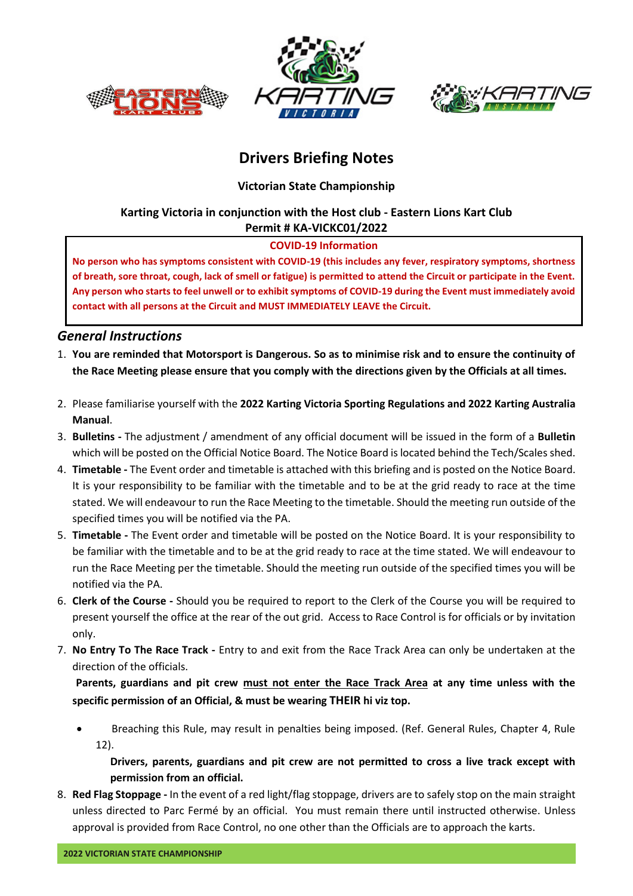





# **Drivers Briefing Notes**

**Victorian State Championship**

## **Karting Victoria in conjunction with the Host club - Eastern Lions Kart Club Permit # KA-VICKC01/2022**

### **COVID-19 Information**

**No person who has symptoms consistent with COVID-19 (this includes any fever, respiratory symptoms, shortness of breath, sore throat, cough, lack of smell or fatigue) is permitted to attend the Circuit or participate in the Event. Any person who starts to feel unwell or to exhibit symptoms of COVID-19 during the Event must immediately avoid contact with all persons at the Circuit and MUST IMMEDIATELY LEAVE the Circuit.**

# *General Instructions*

- 1. **You are reminded that Motorsport is Dangerous. So as to minimise risk and to ensure the continuity of the Race Meeting please ensure that you comply with the directions given by the Officials at all times.**
- 2. Please familiarise yourself with the **2022 Karting Victoria Sporting Regulations and 2022 Karting Australia Manual**.
- 3. **Bulletins -** The adjustment / amendment of any official document will be issued in the form of a **Bulletin** which will be posted on the Official Notice Board. The Notice Board is located behind the Tech/Scales shed.
- 4. **Timetable -** The Event order and timetable is attached with this briefing and is posted on the Notice Board. It is your responsibility to be familiar with the timetable and to be at the grid ready to race at the time stated. We will endeavour to run the Race Meeting to the timetable. Should the meeting run outside of the specified times you will be notified via the PA.
- 5. **Timetable -** The Event order and timetable will be posted on the Notice Board. It is your responsibility to be familiar with the timetable and to be at the grid ready to race at the time stated. We will endeavour to run the Race Meeting per the timetable. Should the meeting run outside of the specified times you will be notified via the PA.
- 6. **Clerk of the Course -** Should you be required to report to the Clerk of the Course you will be required to present yourself the office at the rear of the out grid. Access to Race Control is for officials or by invitation only.
- 7. **No Entry To The Race Track -** Entry to and exit from the Race Track Area can only be undertaken at the direction of the officials.

 **Parents, guardians and pit crew must not enter the Race Track Area at any time unless with the specific permission of an Official, & must be wearing THEIR hi viz top.**

• Breaching this Rule, may result in penalties being imposed. (Ref. General Rules, Chapter 4, Rule 12).

**Drivers, parents, guardians and pit crew are not permitted to cross a live track except with permission from an official.**

8. **Red Flag Stoppage -** In the event of a red light/flag stoppage, drivers are to safely stop on the main straight unless directed to Parc Fermé by an official. You must remain there until instructed otherwise. Unless approval is provided from Race Control, no one other than the Officials are to approach the karts.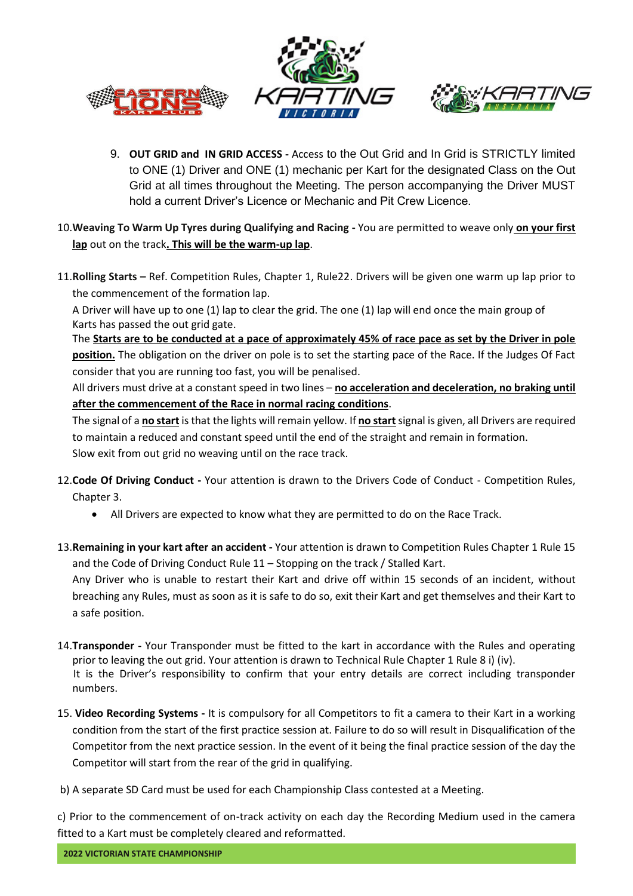





- 9. **OUT GRID and IN GRID ACCESS -** Access to the Out Grid and In Grid is STRICTLY limited to ONE (1) Driver and ONE (1) mechanic per Kart for the designated Class on the Out Grid at all times throughout the Meeting. The person accompanying the Driver MUST hold a current Driver's Licence or Mechanic and Pit Crew Licence.
- 10.**Weaving To Warm Up Tyres during Qualifying and Racing -** You are permitted to weave only **on your first lap** out on the track**. This will be the warm-up lap**.
- 11.**Rolling Starts –** Ref. Competition Rules, Chapter 1, Rule22. Drivers will be given one warm up lap prior to the commencement of the formation lap.

A Driver will have up to one (1) lap to clear the grid. The one (1) lap will end once the main group of Karts has passed the out grid gate.

The **Starts are to be conducted at a pace of approximately 45% of race pace as set by the Driver in pole position.** The obligation on the driver on pole is to set the starting pace of the Race. If the Judges Of Fact consider that you are running too fast, you will be penalised.

All drivers must drive at a constant speed in two lines – **no acceleration and deceleration, no braking until after the commencement of the Race in normal racing conditions**.

The signal of a **no start** is that the lights will remain yellow. If **no start**signal is given, all Drivers are required to maintain a reduced and constant speed until the end of the straight and remain in formation. Slow exit from out grid no weaving until on the race track.

- 12.**Code Of Driving Conduct -** Your attention is drawn to the Drivers Code of Conduct Competition Rules, Chapter 3.
	- All Drivers are expected to know what they are permitted to do on the Race Track.
- 13.**Remaining in your kart after an accident -** Your attention is drawn to Competition Rules Chapter 1 Rule 15 and the Code of Driving Conduct Rule 11 – Stopping on the track / Stalled Kart.

Any Driver who is unable to restart their Kart and drive off within 15 seconds of an incident, without breaching any Rules, must as soon as it is safe to do so, exit their Kart and get themselves and their Kart to a safe position.

- 14.**Transponder -** Your Transponder must be fitted to the kart in accordance with the Rules and operating prior to leaving the out grid. Your attention is drawn to Technical Rule Chapter 1 Rule 8 i) (iv). It is the Driver's responsibility to confirm that your entry details are correct including transponder numbers.
- 15. **Video Recording Systems -** It is compulsory for all Competitors to fit a camera to their Kart in a working condition from the start of the first practice session at. Failure to do so will result in Disqualification of the Competitor from the next practice session. In the event of it being the final practice session of the day the Competitor will start from the rear of the grid in qualifying.
- b) A separate SD Card must be used for each Championship Class contested at a Meeting.

c) Prior to the commencement of on-track activity on each day the Recording Medium used in the camera fitted to a Kart must be completely cleared and reformatted.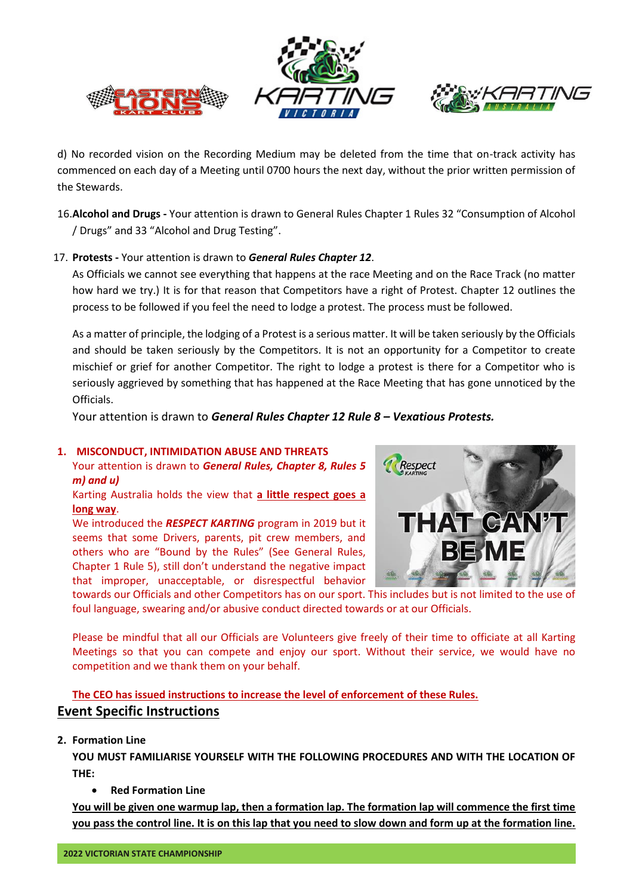





d) No recorded vision on the Recording Medium may be deleted from the time that on-track activity has commenced on each day of a Meeting until 0700 hours the next day, without the prior written permission of the Stewards.

16.**Alcohol and Drugs -** Your attention is drawn to General Rules Chapter 1 Rules 32 "Consumption of Alcohol / Drugs" and 33 "Alcohol and Drug Testing".

#### 17. **Protests -** Your attention is drawn to *General Rules Chapter 12*.

As Officials we cannot see everything that happens at the race Meeting and on the Race Track (no matter how hard we try.) It is for that reason that Competitors have a right of Protest. Chapter 12 outlines the process to be followed if you feel the need to lodge a protest. The process must be followed.

As a matter of principle, the lodging of a Protest is a serious matter. It will be taken seriously by the Officials and should be taken seriously by the Competitors. It is not an opportunity for a Competitor to create mischief or grief for another Competitor. The right to lodge a protest is there for a Competitor who is seriously aggrieved by something that has happened at the Race Meeting that has gone unnoticed by the Officials.

Your attention is drawn to *General Rules Chapter 12 Rule 8 – Vexatious Protests.*

#### **1. MISCONDUCT, INTIMIDATION ABUSE AND THREATS**

Your attention is drawn to *General Rules, Chapter 8, Rules 5 m) and u)*

Karting Australia holds the view that **a little respect goes a long way**.

We introduced the *RESPECT KARTING* program in 2019 but it seems that some Drivers, parents, pit crew members, and others who are "Bound by the Rules" (See General Rules, Chapter 1 Rule 5), still don't understand the negative impact that improper, unacceptable, or disrespectful behavior



towards our Officials and other Competitors has on our sport. This includes but is not limited to the use of foul language, swearing and/or abusive conduct directed towards or at our Officials.

Please be mindful that all our Officials are Volunteers give freely of their time to officiate at all Karting Meetings so that you can compete and enjoy our sport. Without their service, we would have no competition and we thank them on your behalf.

# **The CEO has issued instructions to increase the level of enforcement of these Rules. Event Specific Instructions**

**2. Formation Line**

**YOU MUST FAMILIARISE YOURSELF WITH THE FOLLOWING PROCEDURES AND WITH THE LOCATION OF THE:**

• **Red Formation Line**

**You will be given one warmup lap, then a formation lap. The formation lap will commence the first time you pass the control line. It is on this lap that you need to slow down and form up at the formation line.**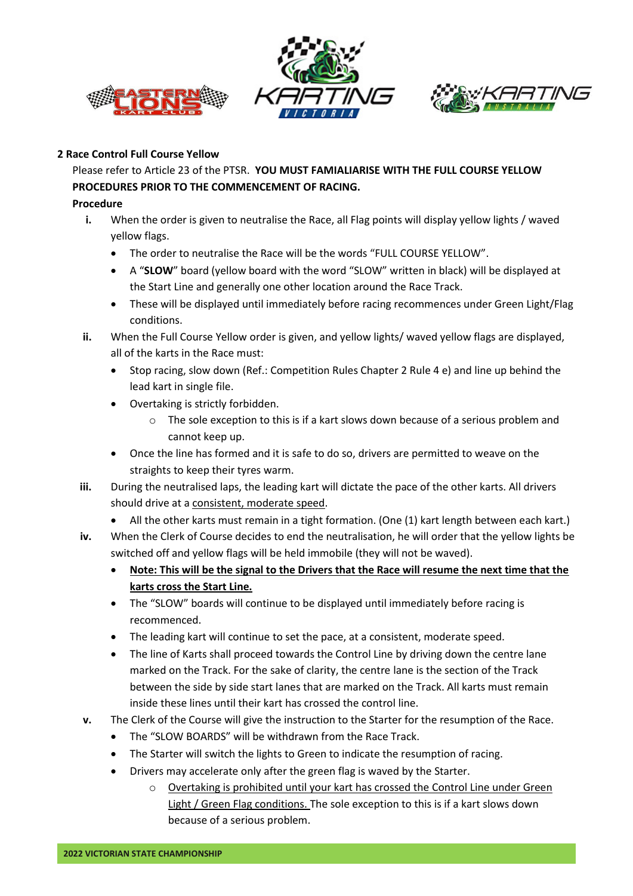





#### **2 Race Control Full Course Yellow**

Please refer to Article 23 of the PTSR. **YOU MUST FAMIALIARISE WITH THE FULL COURSE YELLOW PROCEDURES PRIOR TO THE COMMENCEMENT OF RACING.**

#### **Procedure**

- **i.** When the order is given to neutralise the Race, all Flag points will display yellow lights / waved yellow flags.
	- The order to neutralise the Race will be the words "FULL COURSE YELLOW".
	- A "**SLOW**" board (yellow board with the word "SLOW" written in black) will be displayed at the Start Line and generally one other location around the Race Track.
	- These will be displayed until immediately before racing recommences under Green Light/Flag conditions.
- **ii.** When the Full Course Yellow order is given, and yellow lights/ waved yellow flags are displayed, all of the karts in the Race must:
	- Stop racing, slow down (Ref.: Competition Rules Chapter 2 Rule 4 e) and line up behind the lead kart in single file.
	- Overtaking is strictly forbidden.
		- $\circ$  The sole exception to this is if a kart slows down because of a serious problem and cannot keep up.
	- Once the line has formed and it is safe to do so, drivers are permitted to weave on the straights to keep their tyres warm.
- **iii.** During the neutralised laps, the leading kart will dictate the pace of the other karts. All drivers should drive at a consistent, moderate speed.
	- All the other karts must remain in a tight formation. (One (1) kart length between each kart.)
- **iv.** When the Clerk of Course decides to end the neutralisation, he will order that the yellow lights be switched off and yellow flags will be held immobile (they will not be waved).
	- **Note: This will be the signal to the Drivers that the Race will resume the next time that the karts cross the Start Line.**
	- The "SLOW" boards will continue to be displayed until immediately before racing is recommenced.
	- The leading kart will continue to set the pace, at a consistent, moderate speed.
	- The line of Karts shall proceed towards the Control Line by driving down the centre lane marked on the Track. For the sake of clarity, the centre lane is the section of the Track between the side by side start lanes that are marked on the Track. All karts must remain inside these lines until their kart has crossed the control line.
- **v.** The Clerk of the Course will give the instruction to the Starter for the resumption of the Race.
	- The "SLOW BOARDS" will be withdrawn from the Race Track.
	- The Starter will switch the lights to Green to indicate the resumption of racing.
	- Drivers may accelerate only after the green flag is waved by the Starter.
		- $\circ$  Overtaking is prohibited until your kart has crossed the Control Line under Green Light / Green Flag conditions. The sole exception to this is if a kart slows down because of a serious problem.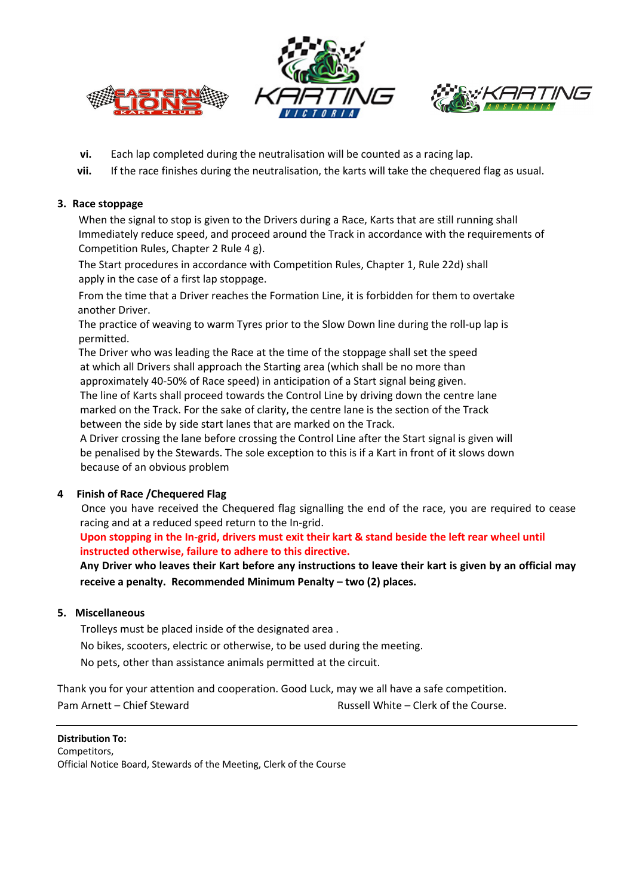





- **vi.** Each lap completed during the neutralisation will be counted as a racing lap.
- **vii.** If the race finishes during the neutralisation, the karts will take the chequered flag as usual.

#### **3. Race stoppage**

 When the signal to stop is given to the Drivers during a Race, Karts that are still running shall Immediately reduce speed, and proceed around the Track in accordance with the requirements of Competition Rules, Chapter 2 Rule 4 g).

 The Start procedures in accordance with Competition Rules, Chapter 1, Rule 22d) shall apply in the case of a first lap stoppage.

 From the time that a Driver reaches the Formation Line, it is forbidden for them to overtake another Driver.

 The practice of weaving to warm Tyres prior to the Slow Down line during the roll-up lap is permitted.

 The Driver who was leading the Race at the time of the stoppage shall set the speed at which all Drivers shall approach the Starting area (which shall be no more than approximately 40-50% of Race speed) in anticipation of a Start signal being given. The line of Karts shall proceed towards the Control Line by driving down the centre lane marked on the Track. For the sake of clarity, the centre lane is the section of the Track

between the side by side start lanes that are marked on the Track.

A Driver crossing the lane before crossing the Control Line after the Start signal is given will be penalised by the Stewards. The sole exception to this is if a Kart in front of it slows down because of an obvious problem

#### **4 Finish of Race /Chequered Flag**

 Once you have received the Chequered flag signalling the end of the race, you are required to cease racing and at a reduced speed return to the In-grid.

### **Upon stopping in the In-grid, drivers must exit their kart & stand beside the left rear wheel until instructed otherwise, failure to adhere to this directive.**

**Any Driver who leaves their Kart before any instructions to leave their kart is given by an official may receive a penalty. Recommended Minimum Penalty – two (2) places.**

#### **5. Miscellaneous**

Trolleys must be placed inside of the designated area .

No bikes, scooters, electric or otherwise, to be used during the meeting.

No pets, other than assistance animals permitted at the circuit.

Thank you for your attention and cooperation. Good Luck, may we all have a safe competition. Pam Arnett – Chief Steward **Russell White – Clerk of the Course.** 

**Distribution To:** Competitors, Official Notice Board, Stewards of the Meeting, Clerk of the Course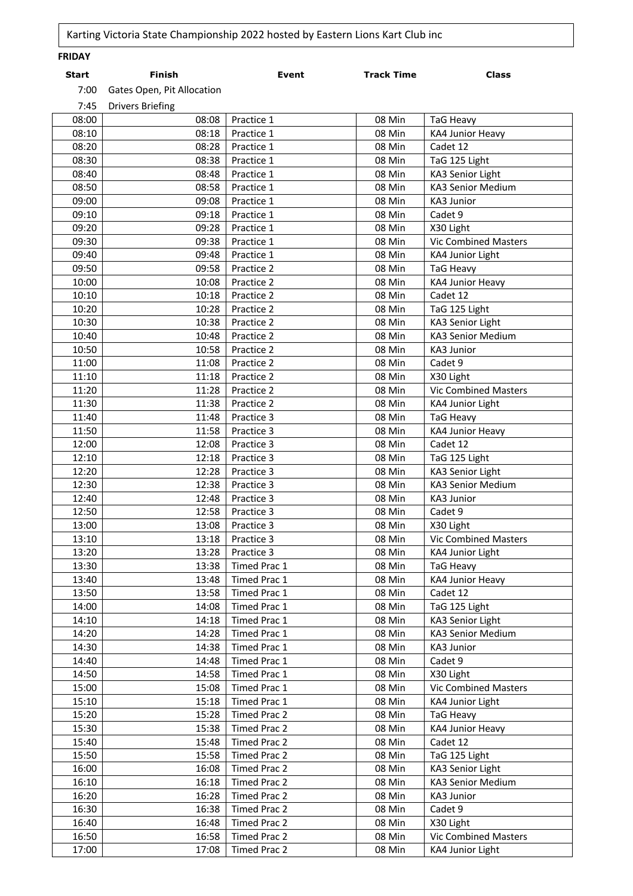| <b>FRIDAY</b>  |                            |                              |                   |                              |
|----------------|----------------------------|------------------------------|-------------------|------------------------------|
| <b>Start</b>   | <b>Finish</b>              | <b>Event</b>                 | <b>Track Time</b> | <b>Class</b>                 |
| 7:00           | Gates Open, Pit Allocation |                              |                   |                              |
| 7:45           | <b>Drivers Briefing</b>    |                              |                   |                              |
| 08:00          | 08:08                      | Practice 1                   | 08 Min            | <b>TaG Heavy</b>             |
| 08:10          | 08:18                      | Practice 1                   | 08 Min            | KA4 Junior Heavy             |
| 08:20          | 08:28                      | Practice 1                   | 08 Min            | Cadet 12                     |
| 08:30          | 08:38                      | Practice 1                   | 08 Min            | TaG 125 Light                |
| 08:40          | 08:48                      | Practice 1                   | 08 Min            | KA3 Senior Light             |
| 08:50          | 08:58                      | Practice 1                   | 08 Min            | KA3 Senior Medium            |
| 09:00          | 09:08                      | Practice 1                   | 08 Min            | KA3 Junior                   |
| 09:10          | 09:18                      | Practice 1                   | 08 Min            | Cadet 9                      |
| 09:20          | 09:28                      | Practice 1                   | 08 Min            | X30 Light                    |
| 09:30          | 09:38                      | Practice 1                   | 08 Min            | <b>Vic Combined Masters</b>  |
| 09:40          | 09:48                      | Practice 1                   | 08 Min            | KA4 Junior Light             |
| 09:50          | 09:58                      | Practice 2                   | 08 Min            | <b>TaG Heavy</b>             |
| 10:00          | 10:08                      | Practice 2                   | 08 Min            | KA4 Junior Heavy             |
| 10:10          | 10:18                      | Practice 2                   | 08 Min            | Cadet 12                     |
| 10:20          | 10:28                      | Practice 2                   | 08 Min            | TaG 125 Light                |
| 10:30          | 10:38                      | Practice 2                   | 08 Min            | KA3 Senior Light             |
| 10:40          | 10:48                      | Practice 2                   | 08 Min            | KA3 Senior Medium            |
| 10:50          | 10:58                      | Practice 2                   | 08 Min            | KA3 Junior                   |
| 11:00          | 11:08                      | Practice 2                   | 08 Min            | Cadet 9                      |
| 11:10          | 11:18                      | Practice 2                   | 08 Min            | X30 Light                    |
| 11:20          | 11:28                      | Practice 2                   | 08 Min            | <b>Vic Combined Masters</b>  |
| 11:30          | 11:38                      | Practice 2                   | 08 Min            | KA4 Junior Light             |
| 11:40          | 11:48                      | Practice 3                   | 08 Min            | <b>TaG Heavy</b>             |
| 11:50          | 11:58                      | Practice 3                   | 08 Min            | KA4 Junior Heavy             |
| 12:00          | 12:08                      | Practice 3                   | 08 Min            | Cadet 12                     |
| 12:10          | 12:18                      | Practice 3                   | 08 Min            | TaG 125 Light                |
| 12:20          | 12:28                      | Practice 3                   | 08 Min            | KA3 Senior Light             |
| 12:30          | 12:38                      | Practice 3                   | 08 Min            | KA3 Senior Medium            |
| 12:40          | 12:48                      | Practice 3                   | 08 Min            | KA3 Junior                   |
| 12:50          | 12:58                      | Practice 3                   | 08 Min            | Cadet 9                      |
| 13:00          | 13:08                      | Practice 3                   | 08 Min            | X30 Light                    |
| 13:10          | 13:18                      | Practice 3                   | 08 Min            | <b>Vic Combined Masters</b>  |
| 13:20          | 13:28                      | Practice 3                   | 08 Min            | KA4 Junior Light             |
| 13:30          | 13:38                      | Timed Prac 1                 | 08 Min            | <b>TaG Heavy</b>             |
| 13:40<br>13:50 | 13:48<br>13:58             | Timed Prac 1<br>Timed Prac 1 | 08 Min<br>08 Min  | KA4 Junior Heavy<br>Cadet 12 |
| 14:00          | 14:08                      | Timed Prac 1                 | 08 Min            | TaG 125 Light                |
| 14:10          | 14:18                      | Timed Prac 1                 | 08 Min            | KA3 Senior Light             |
| 14:20          | 14:28                      | Timed Prac 1                 | 08 Min            | KA3 Senior Medium            |
| 14:30          | 14:38                      | Timed Prac 1                 | 08 Min            | KA3 Junior                   |
| 14:40          | 14:48                      | Timed Prac 1                 | 08 Min            | Cadet 9                      |
| 14:50          | 14:58                      | Timed Prac 1                 | 08 Min            | X30 Light                    |
| 15:00          | 15:08                      | Timed Prac 1                 | 08 Min            | <b>Vic Combined Masters</b>  |
| 15:10          | 15:18                      | Timed Prac 1                 | 08 Min            | KA4 Junior Light             |
| 15:20          | 15:28                      | Timed Prac 2                 | 08 Min            | TaG Heavy                    |
| 15:30          | 15:38                      | Timed Prac 2                 | 08 Min            | KA4 Junior Heavy             |
| 15:40          | 15:48                      | Timed Prac 2                 | 08 Min            | Cadet 12                     |
| 15:50          | 15:58                      | Timed Prac 2                 | 08 Min            | TaG 125 Light                |
| 16:00          | 16:08                      | Timed Prac 2                 | 08 Min            | KA3 Senior Light             |
| 16:10          | 16:18                      | Timed Prac 2                 | 08 Min            | KA3 Senior Medium            |
| 16:20          | 16:28                      | Timed Prac 2                 | 08 Min            | KA3 Junior                   |
| 16:30          | 16:38                      | Timed Prac 2                 | 08 Min            | Cadet 9                      |
| 16:40          | 16:48                      | Timed Prac 2                 | 08 Min            | X30 Light                    |
| 16:50          | 16:58                      | Timed Prac 2                 | 08 Min            | <b>Vic Combined Masters</b>  |
| 17:00          | 17:08                      | Timed Prac 2                 | 08 Min            | KA4 Junior Light             |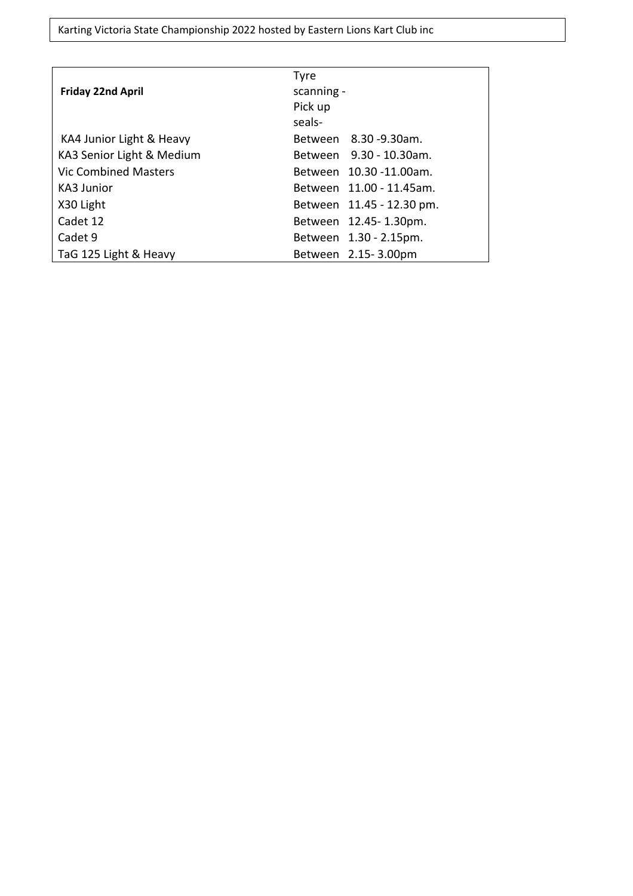Karting Victoria State Championship 2022 hosted by Eastern Lions Kart Club inc

|                           | <b>Tyre</b>               |
|---------------------------|---------------------------|
| <b>Friday 22nd April</b>  | scanning -                |
|                           | Pick up                   |
|                           | seals-                    |
| KA4 Junior Light & Heavy  | Between 8.30 - 9.30 am.   |
| KA3 Senior Light & Medium | Between 9.30 - 10.30am.   |
| Vic Combined Masters      | Between 10.30 -11.00am.   |
| KA3 Junior                | Between 11.00 - 11.45am.  |
| X30 Light                 | Between 11.45 - 12.30 pm. |
| Cadet 12                  | Between 12.45-1.30pm.     |
| Cadet 9                   | Between 1.30 - 2.15pm.    |
| TaG 125 Light & Heavy     | Between 2.15-3.00pm       |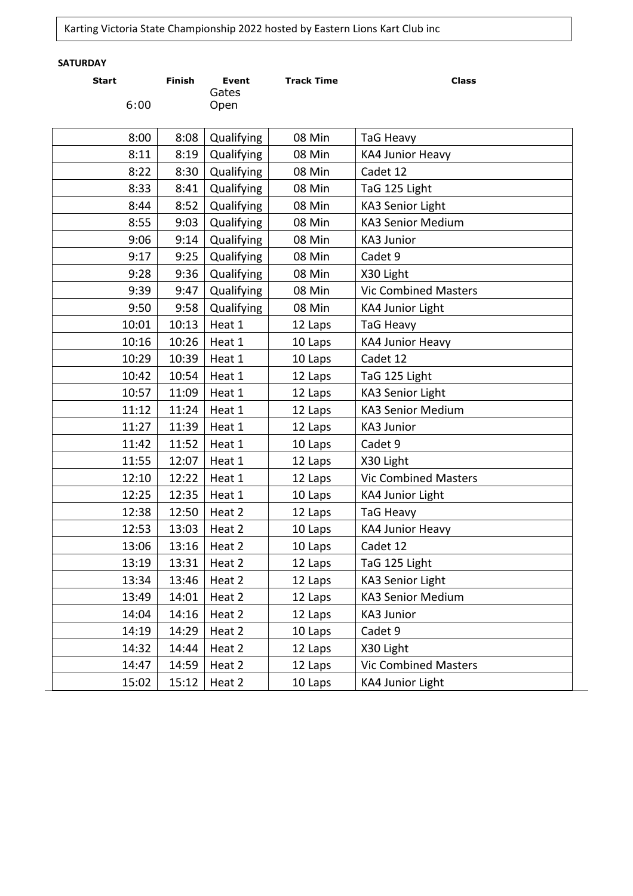# Karting Victoria State Championship 2022 hosted by Eastern Lions Kart Club inc

# **SATURDAY**

| <b>Start</b><br>6:00 | <b>Finish</b> | <b>Event</b><br>Gates<br>Open | <b>Track Time</b> | <b>Class</b>                |
|----------------------|---------------|-------------------------------|-------------------|-----------------------------|
| 8:00                 | 8:08          | Qualifying                    | 08 Min            | TaG Heavy                   |
| 8:11                 | 8:19          | Qualifying                    | 08 Min            | KA4 Junior Heavy            |
| 8:22                 | 8:30          | Qualifying                    | 08 Min            | Cadet 12                    |
| 8:33                 | 8:41          | Qualifying                    | 08 Min            | TaG 125 Light               |
| 8:44                 | 8:52          | Qualifying                    | 08 Min            | <b>KA3 Senior Light</b>     |
| 8:55                 | 9:03          | Qualifying                    | 08 Min            | <b>KA3 Senior Medium</b>    |
| 9:06                 | 9:14          | Qualifying                    | 08 Min            | <b>KA3 Junior</b>           |
| 9:17                 | 9:25          | Qualifying                    | 08 Min            | Cadet 9                     |
| 9:28                 | 9:36          | Qualifying                    | 08 Min            | X30 Light                   |
| 9:39                 | 9:47          | Qualifying                    | 08 Min            | <b>Vic Combined Masters</b> |
| 9:50                 | 9:58          | Qualifying                    | 08 Min            | KA4 Junior Light            |
| 10:01                | 10:13         | Heat 1                        | 12 Laps           | TaG Heavy                   |
| 10:16                | 10:26         | Heat 1                        | 10 Laps           | KA4 Junior Heavy            |
| 10:29                | 10:39         | Heat 1                        | 10 Laps           | Cadet 12                    |
| 10:42                | 10:54         | Heat 1                        | 12 Laps           | TaG 125 Light               |
| 10:57                | 11:09         | Heat 1                        | 12 Laps           | KA3 Senior Light            |
| 11:12                | 11:24         | Heat 1                        | 12 Laps           | KA3 Senior Medium           |
| 11:27                | 11:39         | Heat 1                        | 12 Laps           | <b>KA3 Junior</b>           |
| 11:42                | 11:52         | Heat 1                        | 10 Laps           | Cadet 9                     |
| 11:55                | 12:07         | Heat 1                        | 12 Laps           | X30 Light                   |
| 12:10                | 12:22         | Heat 1                        | 12 Laps           | <b>Vic Combined Masters</b> |
| 12:25                | 12:35         | Heat 1                        | 10 Laps           | KA4 Junior Light            |
| 12:38                | 12:50         | Heat 2                        | 12 Laps           | TaG Heavy                   |
| 12:53                | 13:03         | Heat 2                        | 10 Laps           | KA4 Junior Heavy            |
| 13:06                | 13:16         | Heat 2                        | 10 Laps           | Cadet 12                    |
| 13:19                | 13:31         | Heat 2                        | 12 Laps           | TaG 125 Light               |
| 13:34                | 13:46         | Heat 2                        | 12 Laps           | KA3 Senior Light            |
| 13:49                | 14:01         | Heat 2                        | 12 Laps           | KA3 Senior Medium           |
| 14:04                | 14:16         | Heat 2                        | 12 Laps           | KA3 Junior                  |
| 14:19                | 14:29         | Heat 2                        | 10 Laps           | Cadet 9                     |
| 14:32                | 14:44         | Heat 2                        | 12 Laps           | X30 Light                   |
| 14:47                | 14:59         | Heat 2                        | 12 Laps           | <b>Vic Combined Masters</b> |
| 15:02                | 15:12         | Heat 2                        | 10 Laps           | KA4 Junior Light            |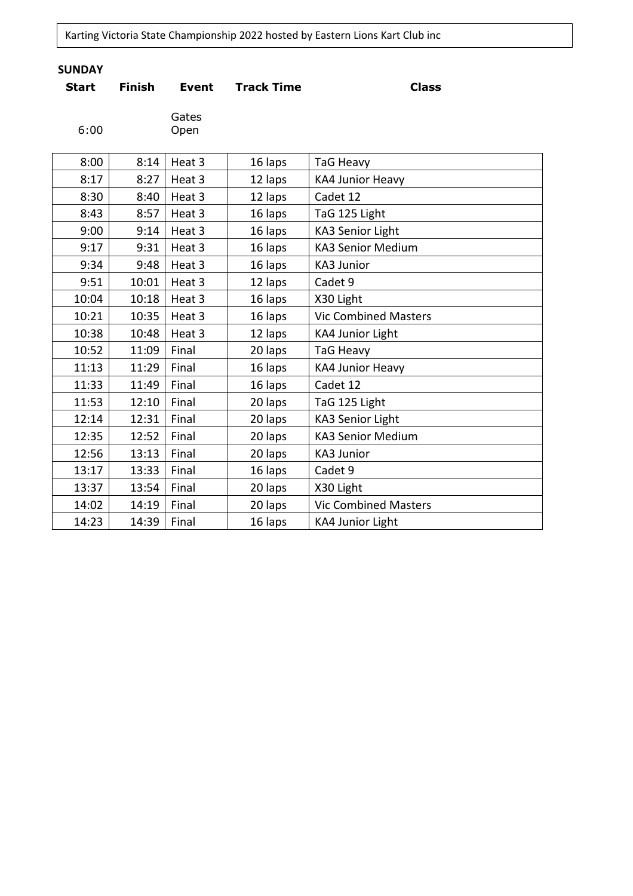Karting Victoria State Championship 2022 hosted by Eastern Lions Kart Club inc

# **SUNDAY**

| <b>Start</b> | <b>Finish</b> | <b>Event</b>  | <b>Track Time</b> | <b>Class</b>                |
|--------------|---------------|---------------|-------------------|-----------------------------|
| 6:00         |               | Gates<br>Open |                   |                             |
| 8:00         | 8:14          | Heat 3        | 16 laps           | <b>TaG Heavy</b>            |
| 8:17         | 8:27          | Heat 3        | 12 laps           | <b>KA4 Junior Heavy</b>     |
| 8:30         | 8:40          | Heat 3        | 12 laps           | Cadet 12                    |
| 8:43         | 8:57          | Heat 3        | 16 laps           | TaG 125 Light               |
| 9:00         | 9:14          | Heat 3        | 16 laps           | <b>KA3 Senior Light</b>     |
| 9:17         | 9:31          | Heat 3        | 16 laps           | <b>KA3 Senior Medium</b>    |
| 9:34         | 9:48          | Heat 3        | 16 laps           | <b>KA3 Junior</b>           |
| 9:51         | 10:01         | Heat 3        | 12 laps           | Cadet 9                     |
| 10:04        | 10:18         | Heat 3        | 16 laps           | X30 Light                   |
| 10:21        | 10:35         | Heat 3        | 16 laps           | <b>Vic Combined Masters</b> |
| 10:38        | 10:48         | Heat 3        | 12 laps           | <b>KA4 Junior Light</b>     |
| 10:52        | 11:09         | Final         | 20 laps           | TaG Heavy                   |
| 11:13        | 11:29         | Final         | 16 laps           | <b>KA4 Junior Heavy</b>     |
| 11:33        | 11:49         | Final         | 16 laps           | Cadet 12                    |
| 11:53        | 12:10         | Final         | 20 laps           | TaG 125 Light               |
| 12:14        | 12:31         | Final         | 20 laps           | <b>KA3 Senior Light</b>     |
| 12:35        | 12:52         | Final         | 20 laps           | <b>KA3 Senior Medium</b>    |
| 12:56        | 13:13         | Final         | 20 laps           | KA3 Junior                  |
| 13:17        | 13:33         | Final         | 16 laps           | Cadet 9                     |
| 13:37        | 13:54         | Final         | 20 laps           | X30 Light                   |
| 14:02        | 14:19         | Final         | 20 laps           | <b>Vic Combined Masters</b> |
| 14:23        | 14:39         | Final         | 16 laps           | KA4 Junior Light            |